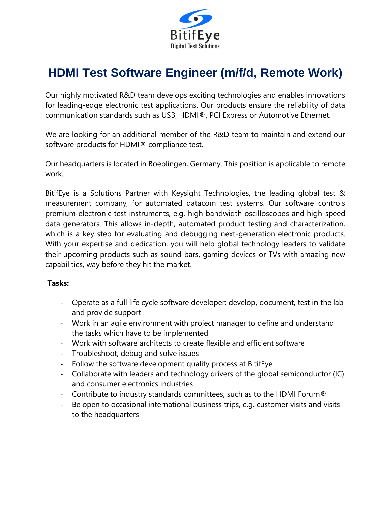

## **HDMI Test Software Engineer (m/f/d, Remote Work)**

Our highly motivated R&D team develops exciting technologies and enables innovations for leading-edge electronic test applications. Our products ensure the reliability of data communication standards such as USB, HDMI®, PCI Express or Automotive Ethernet.

We are looking for an additional member of the R&D team to maintain and extend our software products for HDMI® compliance test.

Our headquarters is located in Boeblingen, Germany. This position is applicable to remote work.

BitifEye is a Solutions Partner with Keysight Technologies, the leading global test & measurement company, for automated datacom test systems. Our software controls premium electronic test instruments, e.g. high bandwidth oscilloscopes and high-speed data generators. This allows in-depth, automated product testing and characterization, which is a key step for evaluating and debugging next-generation electronic products. With your expertise and dedication, you will help global technology leaders to validate their upcoming products such as sound bars, gaming devices or TVs with amazing new capabilities, way before they hit the market.

## **Tasks:**

- Operate as a full life cycle software developer: develop, document, test in the lab and provide support
- Work in an agile environment with project manager to define and understand the tasks which have to be implemented
- Work with software architects to create flexible and efficient software
- Troubleshoot, debug and solve issues
- Follow the software development quality process at BitifEye
- Collaborate with leaders and technology drivers of the global semiconductor (IC) and consumer electronics industries
- Contribute to industry standards committees, such as to the HDMI Forum®
- Be open to occasional international business trips, e.g. customer visits and visits to the headquarters